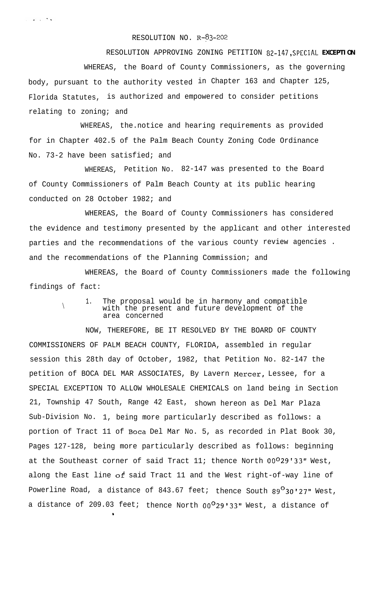## RESOLUTION NO. R-83-202

RESOLUTION APPROVING ZONING PETITION **82-147, SPECIAL EXCEPTION** WHEREAS, the Board of County Commissioners, as the governing body, pursuant to the authority vested in Chapter 163 and Chapter 125, Florida Statutes, is authorized and empowered to consider petitions relating to zoning; and

WHEREAS, the.notice and hearing requirements as provided for in Chapter 402.5 of the Palm Beach County Zoning Code Ordinance No. 73-2 have been satisfied; and

WHEREAS, Petition No. 82-147 was presented to the Board of County Commissioners of Palm Beach County at its public hearing conducted on 28 October 1982; and

WHEREAS, the Board of County Commissioners has considered the evidence and testimony presented by the applicant and other interested parties and the recommendations of the various county review agencies . and the recommendations of the Planning Commission; and

WHEREAS, the Board of County Commissioners made the following findings of fact:

> 1. The proposal would be in harmony and compatible with the present and future development of the area concerned

 $\setminus$ 

 $\omega_{\rm{eff}}$  and

NOW, THEREFORE, BE IT RESOLVED BY THE BOARD OF COUNTY COMMISSIONERS OF PALM BEACH COUNTY, FLORIDA, assembled in regular session this 28th day of October, 1982, that Petition No. 82-147 the petition of BOCA DEL MAR ASSOCIATES, By Lavern Mercer, Lessee, for a SPECIAL EXCEPTION TO ALLOW WHOLESALE CHEMICALS on land being in Section 21, Township 47 South, Range 42 East, shown hereon as Del Mar Plaza Sub-Division No. 1, being more particularly described as follows: a portion of Tract 11 of Boca Del Mar No. 5, as recorded in Plat Book 30, Pages 127-128, being more particularly described as follows: beginning at the Southeast corner of said Tract 11; thence North 00029'33" West, along the East line of said Tract 11 and the West right-of-way line of Powerline Road, a distance of 843.67 feet; thence South  $89^{\circ}30'27''$  West, a distance of 209.03 feet; thence North  $00^029'33''$  West, a distance of

\*